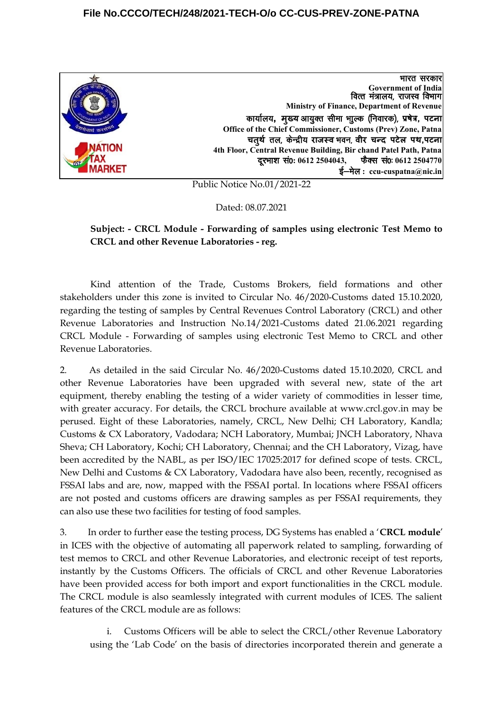### **File No.CCCO/TECH/248/2021-TECH-O/o CC-CUS-PREV-ZONE-PATNA**



Public Notice No.01/2021-22

Dated: 08.07.2021

## **Subject: - CRCL Module - Forwarding of samples using electronic Test Memo to CRCL and other Revenue Laboratories - reg.**

Kind attention of the Trade, Customs Brokers, field formations and other stakeholders under this zone is invited to Circular No. 46/2020-Customs dated 15.10.2020, regarding the testing of samples by Central Revenues Control Laboratory (CRCL) and other Revenue Laboratories and Instruction No.14/2021-Customs dated 21.06.2021 regarding CRCL Module - Forwarding of samples using electronic Test Memo to CRCL and other Revenue Laboratories.

2. As detailed in the said Circular No. 46/2020-Customs dated 15.10.2020, CRCL and other Revenue Laboratories have been upgraded with several new, state of the art equipment, thereby enabling the testing of a wider variety of commodities in lesser time, with greater accuracy. For details, the CRCL brochure available at www.crcl.gov.in may be perused. Eight of these Laboratories, namely, CRCL, New Delhi; CH Laboratory, Kandla; Customs & CX Laboratory, Vadodara; NCH Laboratory, Mumbai; JNCH Laboratory, Nhava Sheva; CH Laboratory, Kochi; CH Laboratory, Chennai; and the CH Laboratory, Vizag, have been accredited by the NABL, as per ISO/IEC 17025:2017 for defined scope of tests. CRCL, New Delhi and Customs & CX Laboratory, Vadodara have also been, recently, recognised as FSSAI labs and are, now, mapped with the FSSAI portal. In locations where FSSAI officers are not posted and customs officers are drawing samples as per FSSAI requirements, they can also use these two facilities for testing of food samples.

3. In order to further ease the testing process, DG Systems has enabled a '**CRCL module**' in ICES with the objective of automating all paperwork related to sampling, forwarding of test memos to CRCL and other Revenue Laboratories, and electronic receipt of test reports, instantly by the Customs Officers. The officials of CRCL and other Revenue Laboratories have been provided access for both import and export functionalities in the CRCL module. The CRCL module is also seamlessly integrated with current modules of ICES. The salient features of the CRCL module are as follows:

i. Customs Officers will be able to select the CRCL/other Revenue Laboratory using the 'Lab Code' on the basis of directories incorporated therein and generate a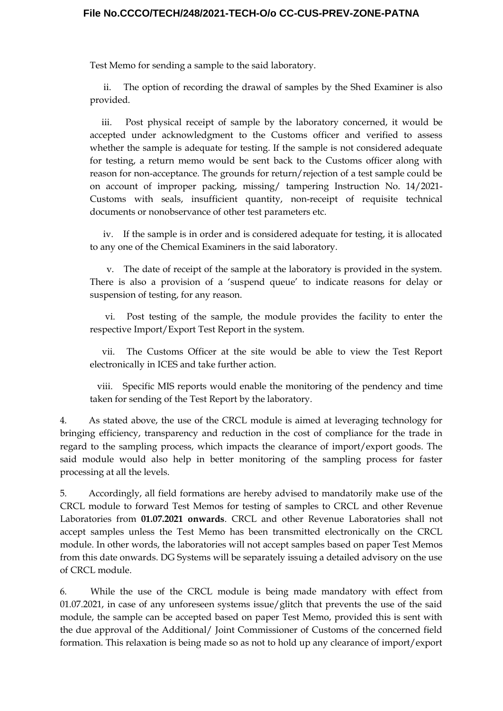### **File No.CCCO/TECH/248/2021-TECH-O/o CC-CUS-PREV-ZONE-PATNA**

Test Memo for sending a sample to the said laboratory.

ii. The option of recording the drawal of samples by the Shed Examiner is also provided.

iii. Post physical receipt of sample by the laboratory concerned, it would be accepted under acknowledgment to the Customs officer and verified to assess whether the sample is adequate for testing. If the sample is not considered adequate for testing, a return memo would be sent back to the Customs officer along with reason for non-acceptance. The grounds for return/rejection of a test sample could be on account of improper packing, missing/ tampering Instruction No. 14/2021- Customs with seals, insufficient quantity, non-receipt of requisite technical documents or nonobservance of other test parameters etc.

iv. If the sample is in order and is considered adequate for testing, it is allocated to any one of the Chemical Examiners in the said laboratory.

v. The date of receipt of the sample at the laboratory is provided in the system. There is also a provision of a 'suspend queue' to indicate reasons for delay or suspension of testing, for any reason.

vi. Post testing of the sample, the module provides the facility to enter the respective Import/Export Test Report in the system.

vii. The Customs Officer at the site would be able to view the Test Report electronically in ICES and take further action.

viii. Specific MIS reports would enable the monitoring of the pendency and time taken for sending of the Test Report by the laboratory.

4. As stated above, the use of the CRCL module is aimed at leveraging technology for bringing efficiency, transparency and reduction in the cost of compliance for the trade in regard to the sampling process, which impacts the clearance of import/export goods. The said module would also help in better monitoring of the sampling process for faster processing at all the levels.

5. Accordingly, all field formations are hereby advised to mandatorily make use of the CRCL module to forward Test Memos for testing of samples to CRCL and other Revenue Laboratories from **01.07.2021 onwards**. CRCL and other Revenue Laboratories shall not accept samples unless the Test Memo has been transmitted electronically on the CRCL module. In other words, the laboratories will not accept samples based on paper Test Memos from this date onwards. DG Systems will be separately issuing a detailed advisory on the use of CRCL module.

6. While the use of the CRCL module is being made mandatory with effect from 01.07.2021, in case of any unforeseen systems issue/glitch that prevents the use of the said module, the sample can be accepted based on paper Test Memo, provided this is sent with the due approval of the Additional/ Joint Commissioner of Customs of the concerned field formation. This relaxation is being made so as not to hold up any clearance of import/export